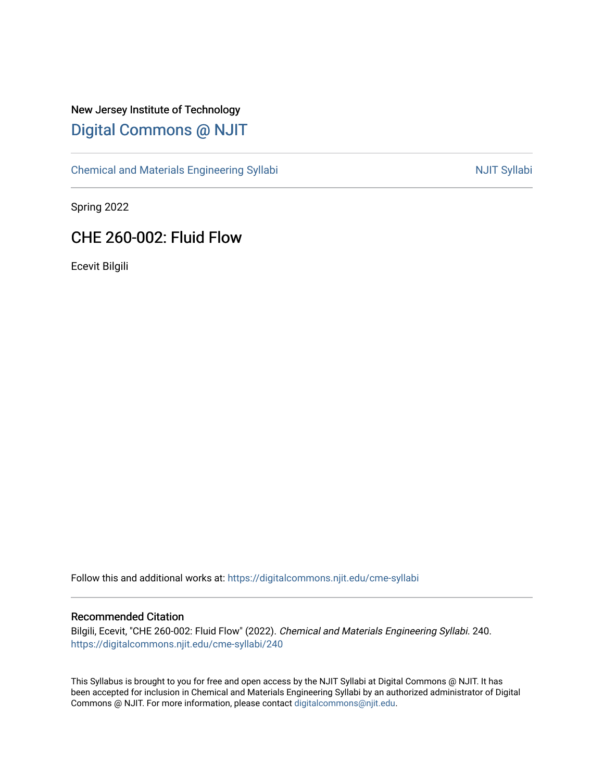# New Jersey Institute of Technology [Digital Commons @ NJIT](https://digitalcommons.njit.edu/)

[Chemical and Materials Engineering Syllabi](https://digitalcommons.njit.edu/cme-syllabi) Nulle and Syllabi Nulle Syllabi Nulle Syllabi Nulle Syllabi Nulle Syllabi

Spring 2022

# CHE 260-002: Fluid Flow

Ecevit Bilgili

Follow this and additional works at: [https://digitalcommons.njit.edu/cme-syllabi](https://digitalcommons.njit.edu/cme-syllabi?utm_source=digitalcommons.njit.edu%2Fcme-syllabi%2F240&utm_medium=PDF&utm_campaign=PDFCoverPages) 

#### Recommended Citation

Bilgili, Ecevit, "CHE 260-002: Fluid Flow" (2022). Chemical and Materials Engineering Syllabi. 240. [https://digitalcommons.njit.edu/cme-syllabi/240](https://digitalcommons.njit.edu/cme-syllabi/240?utm_source=digitalcommons.njit.edu%2Fcme-syllabi%2F240&utm_medium=PDF&utm_campaign=PDFCoverPages) 

This Syllabus is brought to you for free and open access by the NJIT Syllabi at Digital Commons @ NJIT. It has been accepted for inclusion in Chemical and Materials Engineering Syllabi by an authorized administrator of Digital Commons @ NJIT. For more information, please contact [digitalcommons@njit.edu.](mailto:digitalcommons@njit.edu)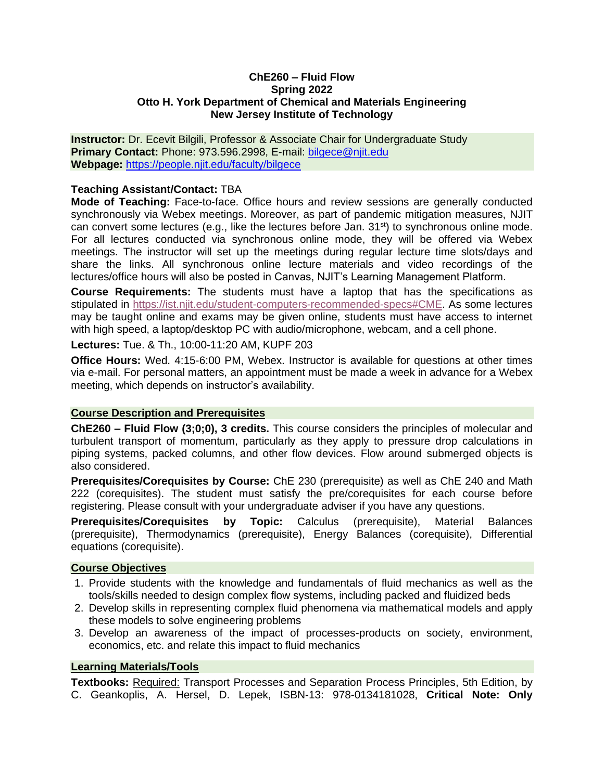#### **ChE260 – Fluid Flow Spring 2022 Otto H. York Department of Chemical and Materials Engineering New Jersey Institute of Technology**

**Instructor:** Dr. Ecevit Bilgili, Professor & Associate Chair for Undergraduate Study **Primary Contact:** Phone: 973.596.2998, E-mail: [bilgece@njit.edu](mailto:bilgece@njit.edu) **Webpage:** <https://people.njit.edu/faculty/bilgece>

#### **Teaching Assistant/Contact:** TBA

**Mode of Teaching:** Face-to-face. Office hours and review sessions are generally conducted synchronously via Webex meetings. Moreover, as part of pandemic mitigation measures, NJIT can convert some lectures (e.g., like the lectures before Jan. 31<sup>st</sup>) to synchronous online mode. For all lectures conducted via synchronous online mode, they will be offered via Webex meetings. The instructor will set up the meetings during regular lecture time slots/days and share the links. All synchronous online lecture materials and video recordings of the lectures/office hours will also be posted in Canvas, NJIT's Learning Management Platform.

**Course Requirements:** The students must have a laptop that has the specifications as stipulated in [https://ist.njit.edu/student-computers-recommended-specs#CME.](https://ist.njit.edu/student-computers-recommended-specs#CME) As some lectures may be taught online and exams may be given online, students must have access to internet with high speed, a laptop/desktop PC with audio/microphone, webcam, and a cell phone.

**Lectures:** Tue. & Th., 10:00-11:20 AM, KUPF 203

**Office Hours:** Wed. 4:15-6:00 PM, Webex. Instructor is available for questions at other times via e-mail. For personal matters, an appointment must be made a week in advance for a Webex meeting, which depends on instructor's availability.

#### **Course Description and Prerequisites**

**ChE260 – Fluid Flow (3;0;0), 3 credits.** This course considers the principles of molecular and turbulent transport of momentum, particularly as they apply to pressure drop calculations in piping systems, packed columns, and other flow devices. Flow around submerged objects is also considered.

**Prerequisites/Corequisites by Course:** ChE 230 (prerequisite) as well as ChE 240 and Math 222 (corequisites). The student must satisfy the pre/corequisites for each course before registering. Please consult with your undergraduate adviser if you have any questions.

**Prerequisites/Corequisites by Topic:** Calculus (prerequisite), Material Balances (prerequisite), Thermodynamics (prerequisite), Energy Balances (corequisite), Differential equations (corequisite).

#### **Course Objectives**

- 1. Provide students with the knowledge and fundamentals of fluid mechanics as well as the tools/skills needed to design complex flow systems, including packed and fluidized beds
- 2. Develop skills in representing complex fluid phenomena via mathematical models and apply these models to solve engineering problems
- 3. Develop an awareness of the impact of processes-products on society, environment, economics, etc. and relate this impact to fluid mechanics

### **Learning Materials/Tools**

**Textbooks:** Required: Transport Processes and Separation Process Principles, 5th Edition, by C. Geankoplis, A. Hersel, D. Lepek, ISBN-13: 978-0134181028, **Critical Note: Only**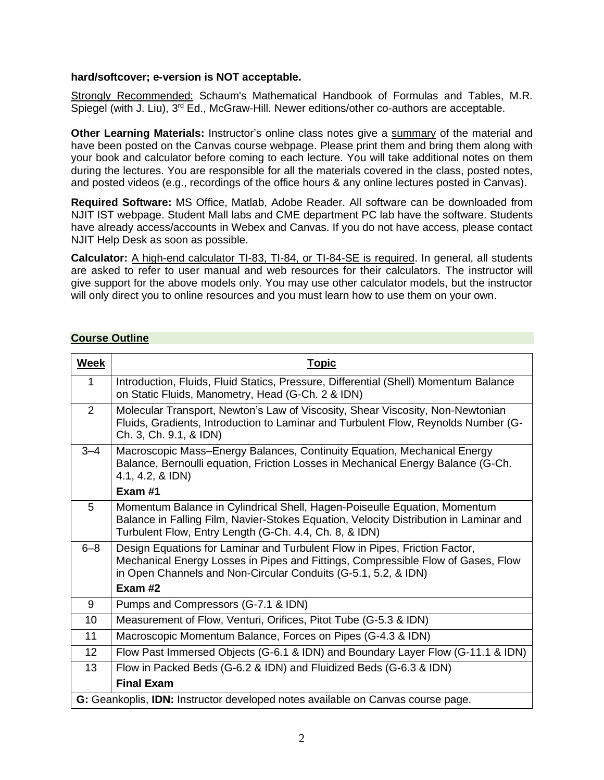### **hard/softcover; e-version is NOT acceptable.**

Strongly Recommended: Schaum's Mathematical Handbook of Formulas and Tables, M.R. Spiegel (with J. Liu), 3<sup>rd</sup> Ed., McGraw-Hill. Newer editions/other co-authors are acceptable.

**Other Learning Materials:** Instructor's online class notes give a summary of the material and have been posted on the Canvas course webpage. Please print them and bring them along with your book and calculator before coming to each lecture. You will take additional notes on them during the lectures. You are responsible for all the materials covered in the class, posted notes, and posted videos (e.g., recordings of the office hours & any online lectures posted in Canvas).

**Required Software:** MS Office, Matlab, Adobe Reader. All software can be downloaded from NJIT IST webpage. Student Mall labs and CME department PC lab have the software. Students have already access/accounts in Webex and Canvas. If you do not have access, please contact NJIT Help Desk as soon as possible.

**Calculator:** A high-end calculator TI-83, TI-84, or TI-84-SE is required. In general, all students are asked to refer to user manual and web resources for their calculators. The instructor will give support for the above models only. You may use other calculator models, but the instructor will only direct you to online resources and you must learn how to use them on your own.

## **Course Outline**

| <b>Week</b>     | <b>Topic</b>                                                                                                                                                                                                                     |  |  |
|-----------------|----------------------------------------------------------------------------------------------------------------------------------------------------------------------------------------------------------------------------------|--|--|
| 1               | Introduction, Fluids, Fluid Statics, Pressure, Differential (Shell) Momentum Balance<br>on Static Fluids, Manometry, Head (G-Ch. 2 & IDN)                                                                                        |  |  |
| 2               | Molecular Transport, Newton's Law of Viscosity, Shear Viscosity, Non-Newtonian<br>Fluids, Gradients, Introduction to Laminar and Turbulent Flow, Reynolds Number (G-<br>Ch. 3, Ch. 9.1, & IDN)                                   |  |  |
| $3 - 4$         | Macroscopic Mass-Energy Balances, Continuity Equation, Mechanical Energy<br>Balance, Bernoulli equation, Friction Losses in Mechanical Energy Balance (G-Ch.<br>4.1, 4.2, & IDN)                                                 |  |  |
|                 | Exam#1                                                                                                                                                                                                                           |  |  |
| 5               | Momentum Balance in Cylindrical Shell, Hagen-Poiseulle Equation, Momentum<br>Balance in Falling Film, Navier-Stokes Equation, Velocity Distribution in Laminar and<br>Turbulent Flow, Entry Length (G-Ch. 4.4, Ch. 8, & IDN)     |  |  |
| $6 - 8$         | Design Equations for Laminar and Turbulent Flow in Pipes, Friction Factor,<br>Mechanical Energy Losses in Pipes and Fittings, Compressible Flow of Gases, Flow<br>in Open Channels and Non-Circular Conduits (G-5.1, 5.2, & IDN) |  |  |
|                 | Exam #2                                                                                                                                                                                                                          |  |  |
| 9               | Pumps and Compressors (G-7.1 & IDN)                                                                                                                                                                                              |  |  |
| 10              | Measurement of Flow, Venturi, Orifices, Pitot Tube (G-5.3 & IDN)                                                                                                                                                                 |  |  |
| 11              | Macroscopic Momentum Balance, Forces on Pipes (G-4.3 & IDN)                                                                                                                                                                      |  |  |
| 12 <sup>2</sup> | Flow Past Immersed Objects (G-6.1 & IDN) and Boundary Layer Flow (G-11.1 & IDN)                                                                                                                                                  |  |  |
| 13              | Flow in Packed Beds (G-6.2 & IDN) and Fluidized Beds (G-6.3 & IDN)                                                                                                                                                               |  |  |
|                 | <b>Final Exam</b>                                                                                                                                                                                                                |  |  |
|                 | G: Geankoplis, IDN: Instructor developed notes available on Canvas course page.                                                                                                                                                  |  |  |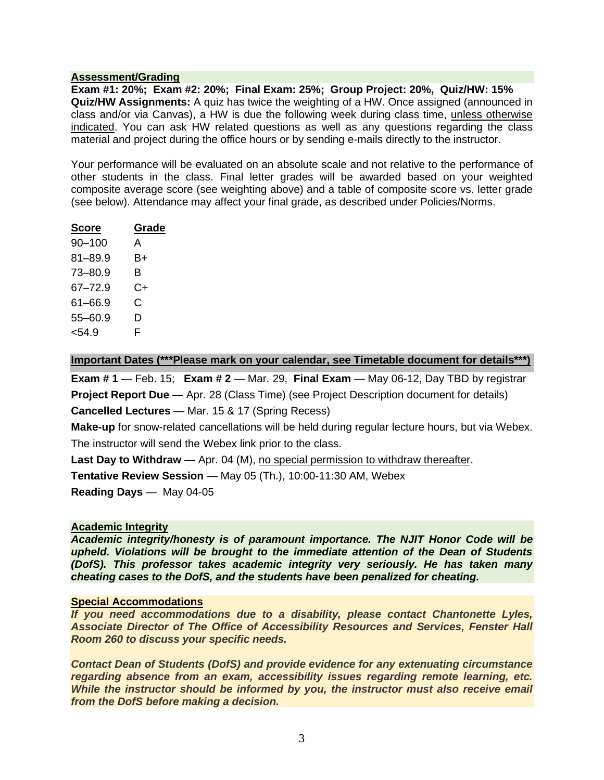#### **Assessment/Grading**

**Exam #1: 20%; Exam #2: 20%; Final Exam: 25%; Group Project: 20%, Quiz/HW: 15% Quiz/HW Assignments:** A quiz has twice the weighting of a HW. Once assigned (announced in class and/or via Canvas), a HW is due the following week during class time, unless otherwise indicated. You can ask HW related questions as well as any questions regarding the class material and project during the office hours or by sending e-mails directly to the instructor.

Your performance will be evaluated on an absolute scale and not relative to the performance of other students in the class. Final letter grades will be awarded based on your weighted composite average score (see weighting above) and a table of composite score vs. letter grade (see below). Attendance may affect your final grade, as described under Policies/Norms.

| <b>Score</b> | Grade |
|--------------|-------|
| $90 - 100$   | А     |
| $81 - 89.9$  | B+    |
| $73 - 80.9$  | в     |
| $67 - 72.9$  | C+    |
| $61 - 66.9$  | C     |
| $55 - 60.9$  | D     |
| $54.9$       | F     |

### **Important Dates (\*\*\*Please mark on your calendar, see Timetable document for details\*\*\*)**

**Exam # 1** — Feb. 15; **Exam # 2** — Mar. 29, **Final Exam** — May 06-12, Day TBD by registrar **Project Report Due** — Apr. 28 (Class Time) (see Project Description document for details) **Cancelled Lectures** — Mar. 15 & 17 (Spring Recess)

**Make-up** for snow-related cancellations will be held during regular lecture hours, but via Webex. The instructor will send the Webex link prior to the class.

**Last Day to Withdraw** — Apr. 04 (M), no special permission to withdraw thereafter.

**Tentative Review Session** — May 05 (Th.), 10:00-11:30 AM, Webex

**Reading Days** — May 04-05

#### **Academic Integrity**

*Academic integrity/honesty is of paramount importance. The NJIT Honor Code will be upheld. Violations will be brought to the immediate attention of the Dean of Students (DofS). This professor takes academic integrity very seriously. He has taken many cheating cases to the DofS, and the students have been penalized for cheating.*

#### **Special Accommodations**

*If you need accommodations due to a disability, please contact Chantonette Lyles, Associate Director of The Office of Accessibility Resources and Services, Fenster Hall Room 260 to discuss your specific needs.*

*Contact Dean of Students (DofS) and provide evidence for any extenuating circumstance regarding absence from an exam, accessibility issues regarding remote learning, etc. While the instructor should be informed by you, the instructor must also receive email from the DofS before making a decision.*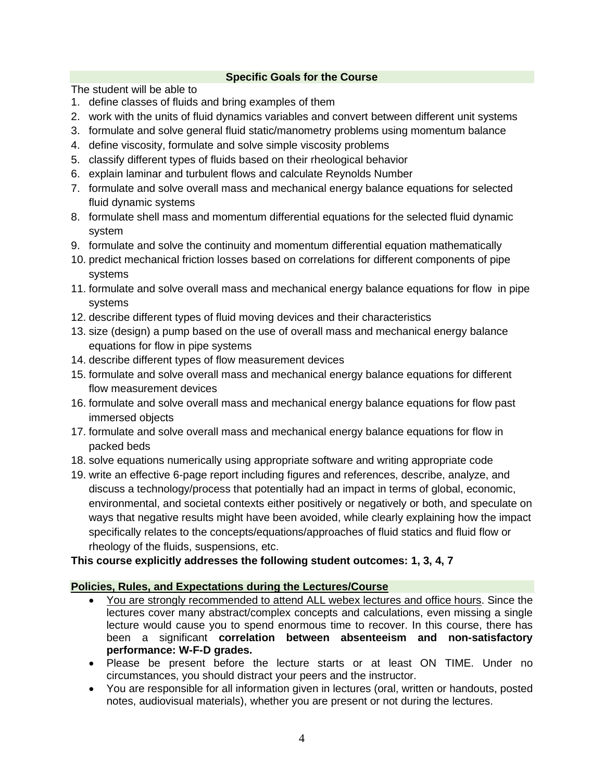## **Specific Goals for the Course**

The student will be able to

- 1. define classes of fluids and bring examples of them
- 2. work with the units of fluid dynamics variables and convert between different unit systems
- 3. formulate and solve general fluid static/manometry problems using momentum balance
- 4. define viscosity, formulate and solve simple viscosity problems
- 5. classify different types of fluids based on their rheological behavior
- 6. explain laminar and turbulent flows and calculate Reynolds Number
- 7. formulate and solve overall mass and mechanical energy balance equations for selected fluid dynamic systems
- 8. formulate shell mass and momentum differential equations for the selected fluid dynamic system
- 9. formulate and solve the continuity and momentum differential equation mathematically
- 10. predict mechanical friction losses based on correlations for different components of pipe systems
- 11. formulate and solve overall mass and mechanical energy balance equations for flow in pipe systems
- 12. describe different types of fluid moving devices and their characteristics
- 13. size (design) a pump based on the use of overall mass and mechanical energy balance equations for flow in pipe systems
- 14. describe different types of flow measurement devices
- 15. formulate and solve overall mass and mechanical energy balance equations for different flow measurement devices
- 16. formulate and solve overall mass and mechanical energy balance equations for flow past immersed objects
- 17. formulate and solve overall mass and mechanical energy balance equations for flow in packed beds
- 18. solve equations numerically using appropriate software and writing appropriate code
- 19. write an effective 6-page report including figures and references, describe, analyze, and discuss a technology/process that potentially had an impact in terms of global, economic, environmental, and societal contexts either positively or negatively or both, and speculate on ways that negative results might have been avoided, while clearly explaining how the impact specifically relates to the concepts/equations/approaches of fluid statics and fluid flow or rheology of the fluids, suspensions, etc.

# **This course explicitly addresses the following student outcomes: 1, 3, 4, 7**

# **Policies, Rules, and Expectations during the Lectures/Course**

- You are strongly recommended to attend ALL webex lectures and office hours. Since the lectures cover many abstract/complex concepts and calculations, even missing a single lecture would cause you to spend enormous time to recover. In this course, there has been a significant **correlation between absenteeism and non-satisfactory performance: W-F-D grades.**
- Please be present before the lecture starts or at least ON TIME. Under no circumstances, you should distract your peers and the instructor.
- You are responsible for all information given in lectures (oral, written or handouts, posted notes, audiovisual materials), whether you are present or not during the lectures.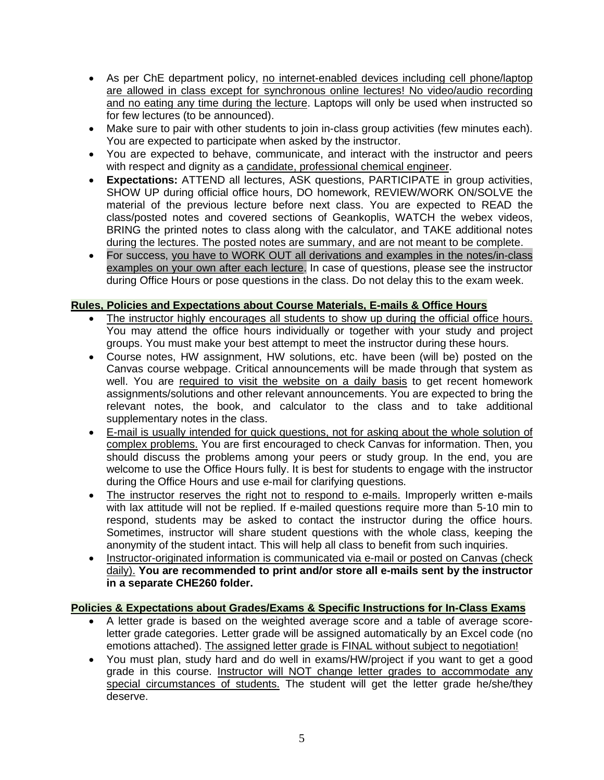- As per ChE department policy, no internet-enabled devices including cell phone/laptop are allowed in class except for synchronous online lectures! No video/audio recording and no eating any time during the lecture. Laptops will only be used when instructed so for few lectures (to be announced).
- Make sure to pair with other students to join in-class group activities (few minutes each). You are expected to participate when asked by the instructor.
- You are expected to behave, communicate, and interact with the instructor and peers with respect and dignity as a candidate, professional chemical engineer.
- **Expectations:** ATTEND all lectures, ASK questions, PARTICIPATE in group activities, SHOW UP during official office hours, DO homework, REVIEW/WORK ON/SOLVE the material of the previous lecture before next class. You are expected to READ the class/posted notes and covered sections of Geankoplis, WATCH the webex videos, BRING the printed notes to class along with the calculator, and TAKE additional notes during the lectures. The posted notes are summary, and are not meant to be complete.
- For success, you have to WORK OUT all derivations and examples in the notes/in-class examples on your own after each lecture. In case of questions, please see the instructor during Office Hours or pose questions in the class. Do not delay this to the exam week.

# **Rules, Policies and Expectations about Course Materials, E-mails & Office Hours**

- The instructor highly encourages all students to show up during the official office hours. You may attend the office hours individually or together with your study and project groups. You must make your best attempt to meet the instructor during these hours.
- Course notes, HW assignment, HW solutions, etc. have been (will be) posted on the Canvas course webpage. Critical announcements will be made through that system as well. You are required to visit the website on a daily basis to get recent homework assignments/solutions and other relevant announcements. You are expected to bring the relevant notes, the book, and calculator to the class and to take additional supplementary notes in the class.
- E-mail is usually intended for quick questions, not for asking about the whole solution of complex problems. You are first encouraged to check Canvas for information. Then, you should discuss the problems among your peers or study group. In the end, you are welcome to use the Office Hours fully. It is best for students to engage with the instructor during the Office Hours and use e-mail for clarifying questions.
- The instructor reserves the right not to respond to e-mails. Improperly written e-mails with lax attitude will not be replied. If e-mailed questions require more than 5-10 min to respond, students may be asked to contact the instructor during the office hours. Sometimes, instructor will share student questions with the whole class, keeping the anonymity of the student intact. This will help all class to benefit from such inquiries.
- Instructor-originated information is communicated via e-mail or posted on Canvas (check daily). **You are recommended to print and/or store all e-mails sent by the instructor in a separate CHE260 folder.**

# **Policies & Expectations about Grades/Exams & Specific Instructions for In-Class Exams**

- A letter grade is based on the weighted average score and a table of average scoreletter grade categories. Letter grade will be assigned automatically by an Excel code (no emotions attached). The assigned letter grade is FINAL without subject to negotiation!
- You must plan, study hard and do well in exams/HW/project if you want to get a good grade in this course. Instructor will NOT change letter grades to accommodate any special circumstances of students. The student will get the letter grade he/she/they deserve.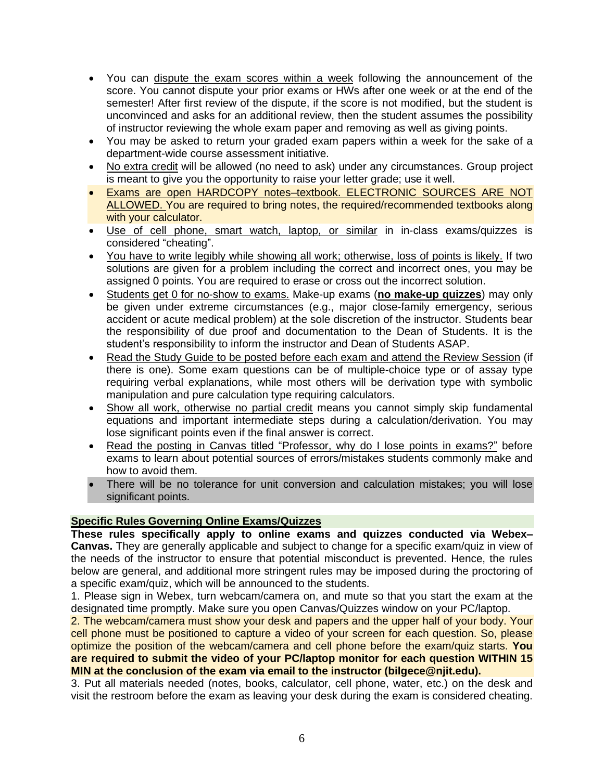- You can dispute the exam scores within a week following the announcement of the score. You cannot dispute your prior exams or HWs after one week or at the end of the semester! After first review of the dispute, if the score is not modified, but the student is unconvinced and asks for an additional review, then the student assumes the possibility of instructor reviewing the whole exam paper and removing as well as giving points.
- You may be asked to return your graded exam papers within a week for the sake of a department-wide course assessment initiative.
- No extra credit will be allowed (no need to ask) under any circumstances. Group project is meant to give you the opportunity to raise your letter grade; use it well.
- Exams are open HARDCOPY notes-textbook. ELECTRONIC SOURCES ARE NOT ALLOWED. You are required to bring notes, the required/recommended textbooks along with your calculator.
- Use of cell phone, smart watch, laptop, or similar in in-class exams/quizzes is considered "cheating".
- You have to write legibly while showing all work; otherwise, loss of points is likely. If two solutions are given for a problem including the correct and incorrect ones, you may be assigned 0 points. You are required to erase or cross out the incorrect solution.
- Students get 0 for no-show to exams. Make-up exams (**no make-up quizzes**) may only be given under extreme circumstances (e.g., major close-family emergency, serious accident or acute medical problem) at the sole discretion of the instructor. Students bear the responsibility of due proof and documentation to the Dean of Students. It is the student's responsibility to inform the instructor and Dean of Students ASAP.
- Read the Study Guide to be posted before each exam and attend the Review Session (if there is one). Some exam questions can be of multiple-choice type or of assay type requiring verbal explanations, while most others will be derivation type with symbolic manipulation and pure calculation type requiring calculators.
- Show all work, otherwise no partial credit means you cannot simply skip fundamental equations and important intermediate steps during a calculation/derivation. You may lose significant points even if the final answer is correct.
- Read the posting in Canvas titled "Professor, why do I lose points in exams?" before exams to learn about potential sources of errors/mistakes students commonly make and how to avoid them.
- There will be no tolerance for unit conversion and calculation mistakes; you will lose significant points.

# **Specific Rules Governing Online Exams/Quizzes**

**These rules specifically apply to online exams and quizzes conducted via Webex– Canvas.** They are generally applicable and subject to change for a specific exam/quiz in view of the needs of the instructor to ensure that potential misconduct is prevented. Hence, the rules below are general, and additional more stringent rules may be imposed during the proctoring of a specific exam/quiz, which will be announced to the students.

1. Please sign in Webex, turn webcam/camera on, and mute so that you start the exam at the designated time promptly. Make sure you open Canvas/Quizzes window on your PC/laptop.

2. The webcam/camera must show your desk and papers and the upper half of your body. Your cell phone must be positioned to capture a video of your screen for each question. So, please optimize the position of the webcam/camera and cell phone before the exam/quiz starts. **You are required to submit the video of your PC/laptop monitor for each question WITHIN 15 MIN at the conclusion of the exam via email to the instructor (bilgece@njit.edu).**

3. Put all materials needed (notes, books, calculator, cell phone, water, etc.) on the desk and visit the restroom before the exam as leaving your desk during the exam is considered cheating.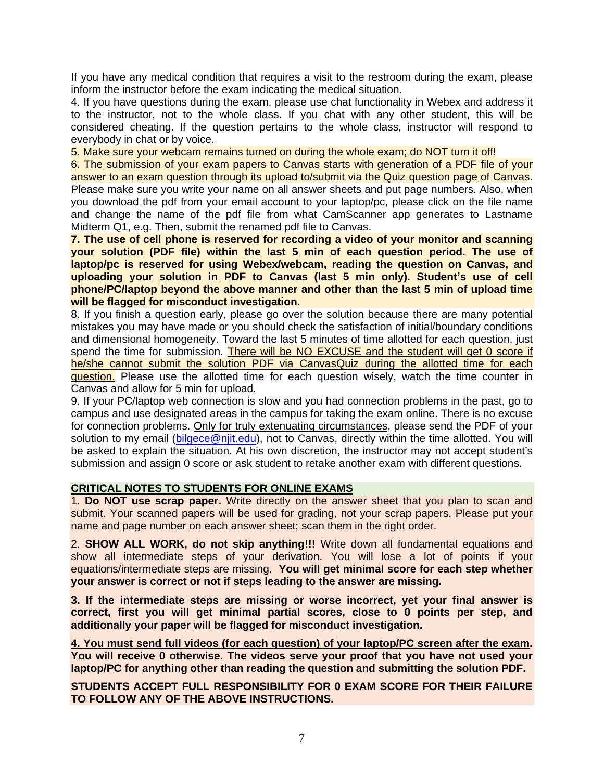If you have any medical condition that requires a visit to the restroom during the exam, please inform the instructor before the exam indicating the medical situation.

4. If you have questions during the exam, please use chat functionality in Webex and address it to the instructor, not to the whole class. If you chat with any other student, this will be considered cheating. If the question pertains to the whole class, instructor will respond to everybody in chat or by voice.

5. Make sure your webcam remains turned on during the whole exam; do NOT turn it off!

6. The submission of your exam papers to Canvas starts with generation of a PDF file of your answer to an exam question through its upload to/submit via the Quiz question page of Canvas. Please make sure you write your name on all answer sheets and put page numbers. Also, when you download the pdf from your email account to your laptop/pc, please click on the file name and change the name of the pdf file from what CamScanner app generates to Lastname Midterm Q1, e.g. Then, submit the renamed pdf file to Canvas.

**7. The use of cell phone is reserved for recording a video of your monitor and scanning your solution (PDF file) within the last 5 min of each question period. The use of laptop/pc is reserved for using Webex/webcam, reading the question on Canvas, and uploading your solution in PDF to Canvas (last 5 min only). Student's use of cell phone/PC/laptop beyond the above manner and other than the last 5 min of upload time will be flagged for misconduct investigation.**

8. If you finish a question early, please go over the solution because there are many potential mistakes you may have made or you should check the satisfaction of initial/boundary conditions and dimensional homogeneity. Toward the last 5 minutes of time allotted for each question, just spend the time for submission. There will be NO EXCUSE and the student will get 0 score if he/she cannot submit the solution PDF via CanvasQuiz during the allotted time for each question. Please use the allotted time for each question wisely, watch the time counter in Canvas and allow for 5 min for upload.

9. If your PC/laptop web connection is slow and you had connection problems in the past, go to campus and use designated areas in the campus for taking the exam online. There is no excuse for connection problems. Only for truly extenuating circumstances, please send the PDF of your solution to my email [\(bilgece@njit.edu\)](mailto:bilgece@njit.edu), not to Canvas, directly within the time allotted. You will be asked to explain the situation. At his own discretion, the instructor may not accept student's submission and assign 0 score or ask student to retake another exam with different questions.

#### **CRITICAL NOTES TO STUDENTS FOR ONLINE EXAMS**

1. **Do NOT use scrap paper.** Write directly on the answer sheet that you plan to scan and submit. Your scanned papers will be used for grading, not your scrap papers. Please put your name and page number on each answer sheet; scan them in the right order.

2. **SHOW ALL WORK, do not skip anything!!!** Write down all fundamental equations and show all intermediate steps of your derivation. You will lose a lot of points if your equations/intermediate steps are missing. **You will get minimal score for each step whether your answer is correct or not if steps leading to the answer are missing.**

**3. If the intermediate steps are missing or worse incorrect, yet your final answer is correct, first you will get minimal partial scores, close to 0 points per step, and additionally your paper will be flagged for misconduct investigation.**

**4. You must send full videos (for each question) of your laptop/PC screen after the exam. You will receive 0 otherwise. The videos serve your proof that you have not used your laptop/PC for anything other than reading the question and submitting the solution PDF.**

**STUDENTS ACCEPT FULL RESPONSIBILITY FOR 0 EXAM SCORE FOR THEIR FAILURE TO FOLLOW ANY OF THE ABOVE INSTRUCTIONS.**